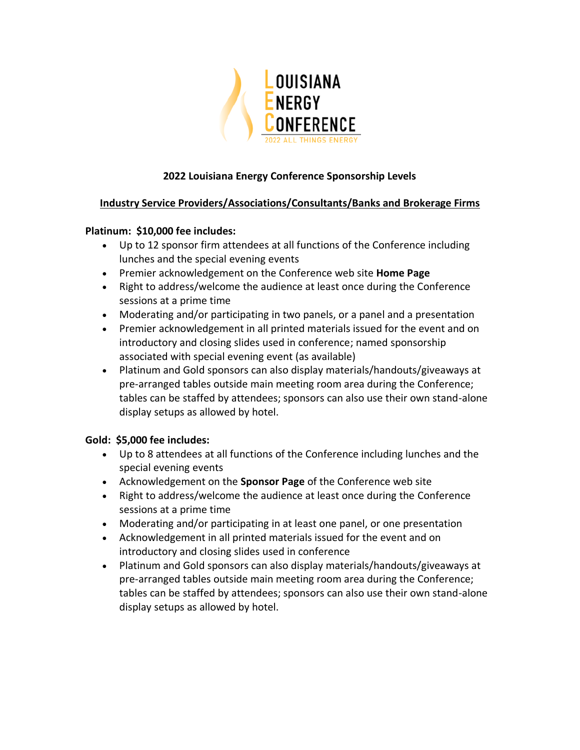

# **2022 Louisiana Energy Conference Sponsorship Levels**

## **Industry Service Providers/Associations/Consultants/Banks and Brokerage Firms**

### **Platinum: \$10,000 fee includes:**

- Up to 12 sponsor firm attendees at all functions of the Conference including lunches and the special evening events
- Premier acknowledgement on the Conference web site **Home Page**
- Right to address/welcome the audience at least once during the Conference sessions at a prime time
- Moderating and/or participating in two panels, or a panel and a presentation
- Premier acknowledgement in all printed materials issued for the event and on introductory and closing slides used in conference; named sponsorship associated with special evening event (as available)
- Platinum and Gold sponsors can also display materials/handouts/giveaways at pre-arranged tables outside main meeting room area during the Conference; tables can be staffed by attendees; sponsors can also use their own stand-alone display setups as allowed by hotel.

## **Gold: \$5,000 fee includes:**

- Up to 8 attendees at all functions of the Conference including lunches and the special evening events
- Acknowledgement on the **Sponsor Page** of the Conference web site
- Right to address/welcome the audience at least once during the Conference sessions at a prime time
- Moderating and/or participating in at least one panel, or one presentation
- Acknowledgement in all printed materials issued for the event and on introductory and closing slides used in conference
- Platinum and Gold sponsors can also display materials/handouts/giveaways at pre-arranged tables outside main meeting room area during the Conference; tables can be staffed by attendees; sponsors can also use their own stand-alone display setups as allowed by hotel.